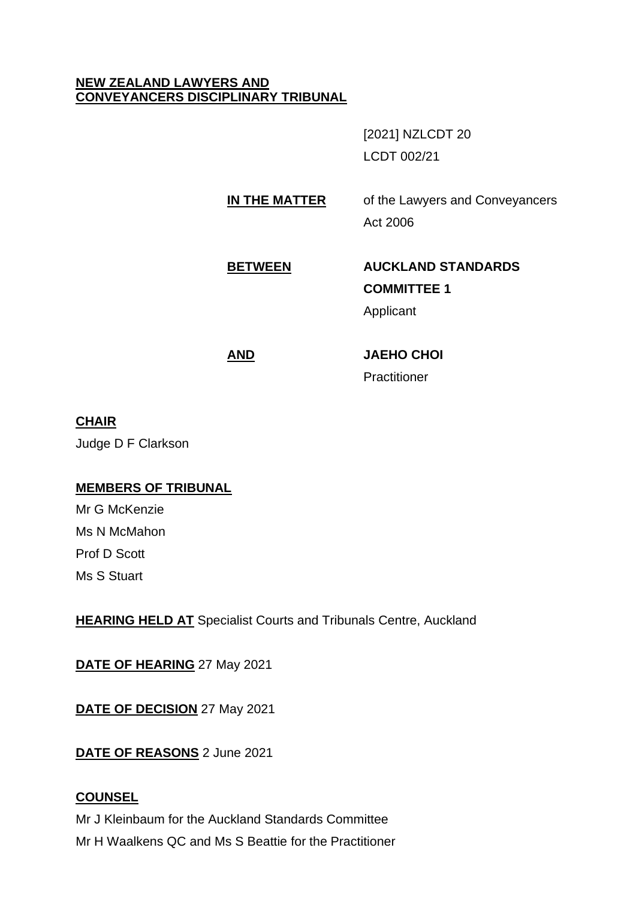## **NEW ZEALAND LAWYERS AND CONVEYANCERS DISCIPLINARY TRIBUNAL**

[2021] NZLCDT 20 LCDT 002/21

# **IN THE MATTER** of the Lawyers and Conveyancers

Act 2006

# **BETWEEN AUCKLAND STANDARDS**

**COMMITTEE 1**

Applicant

**AND JAEHO CHOI**

**Practitioner** 

# **CHAIR**

Judge D F Clarkson

# **MEMBERS OF TRIBUNAL**

Mr G McKenzie Ms N McMahon Prof D Scott Ms S Stuart

**HEARING HELD AT** Specialist Courts and Tribunals Centre, Auckland

**DATE OF HEARING** 27 May 2021

**DATE OF DECISION** 27 May 2021

**DATE OF REASONS** 2 June 2021

# **COUNSEL**

Mr J Kleinbaum for the Auckland Standards Committee Mr H Waalkens QC and Ms S Beattie for the Practitioner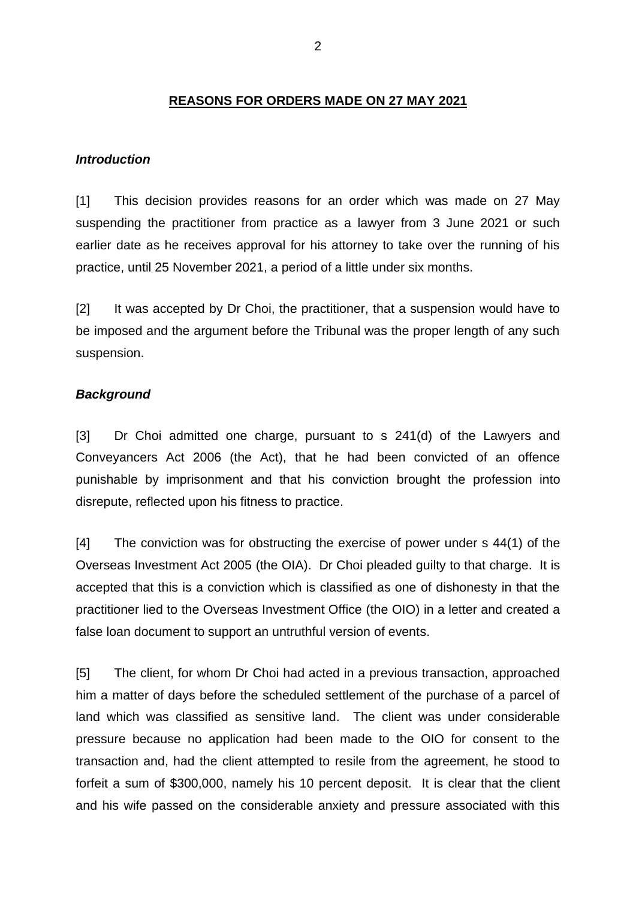## **REASONS FOR ORDERS MADE ON 27 MAY 2021**

#### *Introduction*

[1] This decision provides reasons for an order which was made on 27 May suspending the practitioner from practice as a lawyer from 3 June 2021 or such earlier date as he receives approval for his attorney to take over the running of his practice, until 25 November 2021, a period of a little under six months.

[2] It was accepted by Dr Choi, the practitioner, that a suspension would have to be imposed and the argument before the Tribunal was the proper length of any such suspension.

## *Background*

[3] Dr Choi admitted one charge, pursuant to s 241(d) of the Lawyers and Conveyancers Act 2006 (the Act), that he had been convicted of an offence punishable by imprisonment and that his conviction brought the profession into disrepute, reflected upon his fitness to practice.

[4] The conviction was for obstructing the exercise of power under s 44(1) of the Overseas Investment Act 2005 (the OIA). Dr Choi pleaded guilty to that charge. It is accepted that this is a conviction which is classified as one of dishonesty in that the practitioner lied to the Overseas Investment Office (the OIO) in a letter and created a false loan document to support an untruthful version of events.

[5] The client, for whom Dr Choi had acted in a previous transaction, approached him a matter of days before the scheduled settlement of the purchase of a parcel of land which was classified as sensitive land. The client was under considerable pressure because no application had been made to the OIO for consent to the transaction and, had the client attempted to resile from the agreement, he stood to forfeit a sum of \$300,000, namely his 10 percent deposit. It is clear that the client and his wife passed on the considerable anxiety and pressure associated with this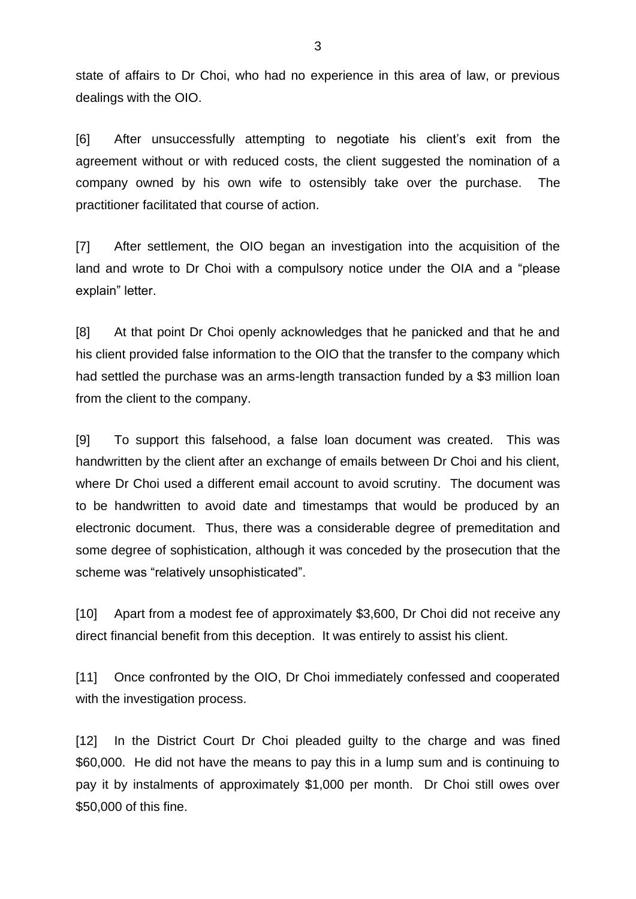state of affairs to Dr Choi, who had no experience in this area of law, or previous dealings with the OIO.

[6] After unsuccessfully attempting to negotiate his client's exit from the agreement without or with reduced costs, the client suggested the nomination of a company owned by his own wife to ostensibly take over the purchase. The practitioner facilitated that course of action.

[7] After settlement, the OIO began an investigation into the acquisition of the land and wrote to Dr Choi with a compulsory notice under the OIA and a "please explain" letter.

[8] At that point Dr Choi openly acknowledges that he panicked and that he and his client provided false information to the OIO that the transfer to the company which had settled the purchase was an arms-length transaction funded by a \$3 million loan from the client to the company.

[9] To support this falsehood, a false loan document was created. This was handwritten by the client after an exchange of emails between Dr Choi and his client, where Dr Choi used a different email account to avoid scrutiny. The document was to be handwritten to avoid date and timestamps that would be produced by an electronic document. Thus, there was a considerable degree of premeditation and some degree of sophistication, although it was conceded by the prosecution that the scheme was "relatively unsophisticated".

[10] Apart from a modest fee of approximately \$3,600, Dr Choi did not receive any direct financial benefit from this deception. It was entirely to assist his client.

[11] Once confronted by the OIO, Dr Choi immediately confessed and cooperated with the investigation process.

[12] In the District Court Dr Choi pleaded guilty to the charge and was fined \$60,000. He did not have the means to pay this in a lump sum and is continuing to pay it by instalments of approximately \$1,000 per month. Dr Choi still owes over \$50,000 of this fine.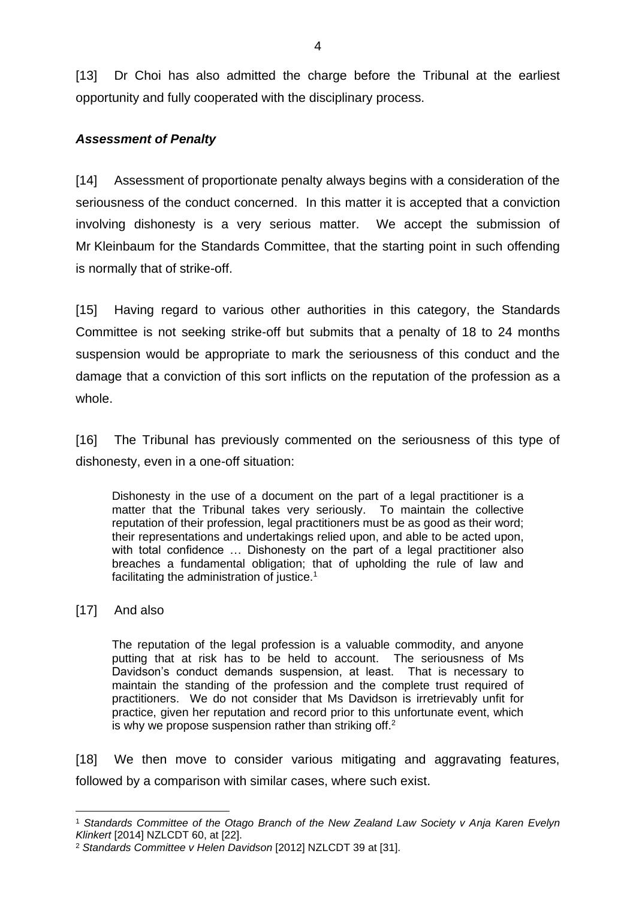[13] Dr Choi has also admitted the charge before the Tribunal at the earliest opportunity and fully cooperated with the disciplinary process.

# *Assessment of Penalty*

[14] Assessment of proportionate penalty always begins with a consideration of the seriousness of the conduct concerned. In this matter it is accepted that a conviction involving dishonesty is a very serious matter. We accept the submission of Mr Kleinbaum for the Standards Committee, that the starting point in such offending is normally that of strike-off.

[15] Having regard to various other authorities in this category, the Standards Committee is not seeking strike-off but submits that a penalty of 18 to 24 months suspension would be appropriate to mark the seriousness of this conduct and the damage that a conviction of this sort inflicts on the reputation of the profession as a whole.

[16] The Tribunal has previously commented on the seriousness of this type of dishonesty, even in a one-off situation:

Dishonesty in the use of a document on the part of a legal practitioner is a matter that the Tribunal takes very seriously. To maintain the collective reputation of their profession, legal practitioners must be as good as their word; their representations and undertakings relied upon, and able to be acted upon, with total confidence ... Dishonesty on the part of a legal practitioner also breaches a fundamental obligation; that of upholding the rule of law and facilitating the administration of justice.<sup>1</sup>

## [17] And also

The reputation of the legal profession is a valuable commodity, and anyone putting that at risk has to be held to account. The seriousness of Ms Davidson's conduct demands suspension, at least. That is necessary to maintain the standing of the profession and the complete trust required of practitioners. We do not consider that Ms Davidson is irretrievably unfit for practice, given her reputation and record prior to this unfortunate event, which is why we propose suspension rather than striking off.<sup>2</sup>

[18] We then move to consider various mitigating and aggravating features, followed by a comparison with similar cases, where such exist.

<sup>1</sup> *Standards Committee of the Otago Branch of the New Zealand Law Society v Anja Karen Evelyn Klinkert* [2014] NZLCDT 60, at [22].

<sup>2</sup> *Standards Committee v Helen Davidson* [2012] NZLCDT 39 at [31].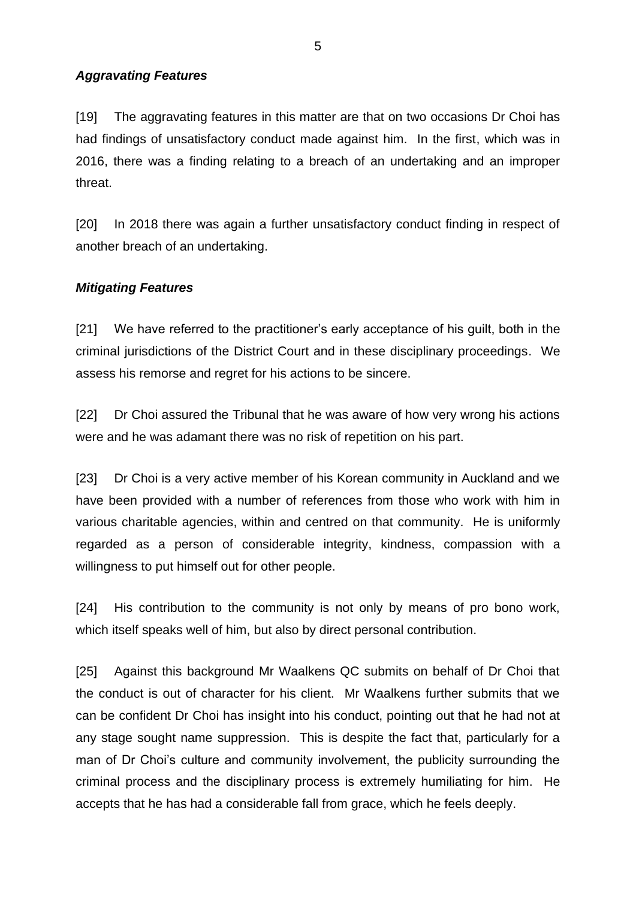# *Aggravating Features*

[19] The aggravating features in this matter are that on two occasions Dr Choi has had findings of unsatisfactory conduct made against him. In the first, which was in 2016, there was a finding relating to a breach of an undertaking and an improper threat.

[20] In 2018 there was again a further unsatisfactory conduct finding in respect of another breach of an undertaking.

# *Mitigating Features*

[21] We have referred to the practitioner's early acceptance of his guilt, both in the criminal jurisdictions of the District Court and in these disciplinary proceedings. We assess his remorse and regret for his actions to be sincere.

[22] Dr Choi assured the Tribunal that he was aware of how very wrong his actions were and he was adamant there was no risk of repetition on his part.

[23] Dr Choi is a very active member of his Korean community in Auckland and we have been provided with a number of references from those who work with him in various charitable agencies, within and centred on that community. He is uniformly regarded as a person of considerable integrity, kindness, compassion with a willingness to put himself out for other people.

[24] His contribution to the community is not only by means of pro bono work, which itself speaks well of him, but also by direct personal contribution.

[25] Against this background Mr Waalkens QC submits on behalf of Dr Choi that the conduct is out of character for his client. Mr Waalkens further submits that we can be confident Dr Choi has insight into his conduct, pointing out that he had not at any stage sought name suppression. This is despite the fact that, particularly for a man of Dr Choi's culture and community involvement, the publicity surrounding the criminal process and the disciplinary process is extremely humiliating for him. He accepts that he has had a considerable fall from grace, which he feels deeply.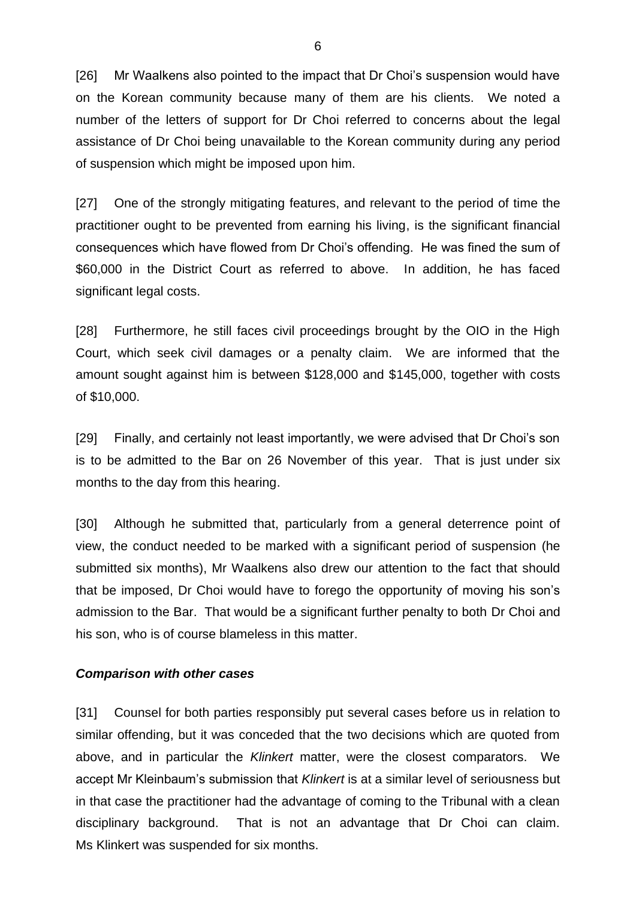[26] Mr Waalkens also pointed to the impact that Dr Choi's suspension would have on the Korean community because many of them are his clients. We noted a number of the letters of support for Dr Choi referred to concerns about the legal assistance of Dr Choi being unavailable to the Korean community during any period of suspension which might be imposed upon him.

[27] One of the strongly mitigating features, and relevant to the period of time the practitioner ought to be prevented from earning his living, is the significant financial consequences which have flowed from Dr Choi's offending. He was fined the sum of \$60,000 in the District Court as referred to above. In addition, he has faced significant legal costs.

[28] Furthermore, he still faces civil proceedings brought by the OIO in the High Court, which seek civil damages or a penalty claim. We are informed that the amount sought against him is between \$128,000 and \$145,000, together with costs of \$10,000.

[29] Finally, and certainly not least importantly, we were advised that Dr Choi's son is to be admitted to the Bar on 26 November of this year. That is just under six months to the day from this hearing.

[30] Although he submitted that, particularly from a general deterrence point of view, the conduct needed to be marked with a significant period of suspension (he submitted six months), Mr Waalkens also drew our attention to the fact that should that be imposed, Dr Choi would have to forego the opportunity of moving his son's admission to the Bar. That would be a significant further penalty to both Dr Choi and his son, who is of course blameless in this matter.

#### *Comparison with other cases*

[31] Counsel for both parties responsibly put several cases before us in relation to similar offending, but it was conceded that the two decisions which are quoted from above, and in particular the *Klinkert* matter, were the closest comparators. We accept Mr Kleinbaum's submission that *Klinkert* is at a similar level of seriousness but in that case the practitioner had the advantage of coming to the Tribunal with a clean disciplinary background. That is not an advantage that Dr Choi can claim. Ms Klinkert was suspended for six months.